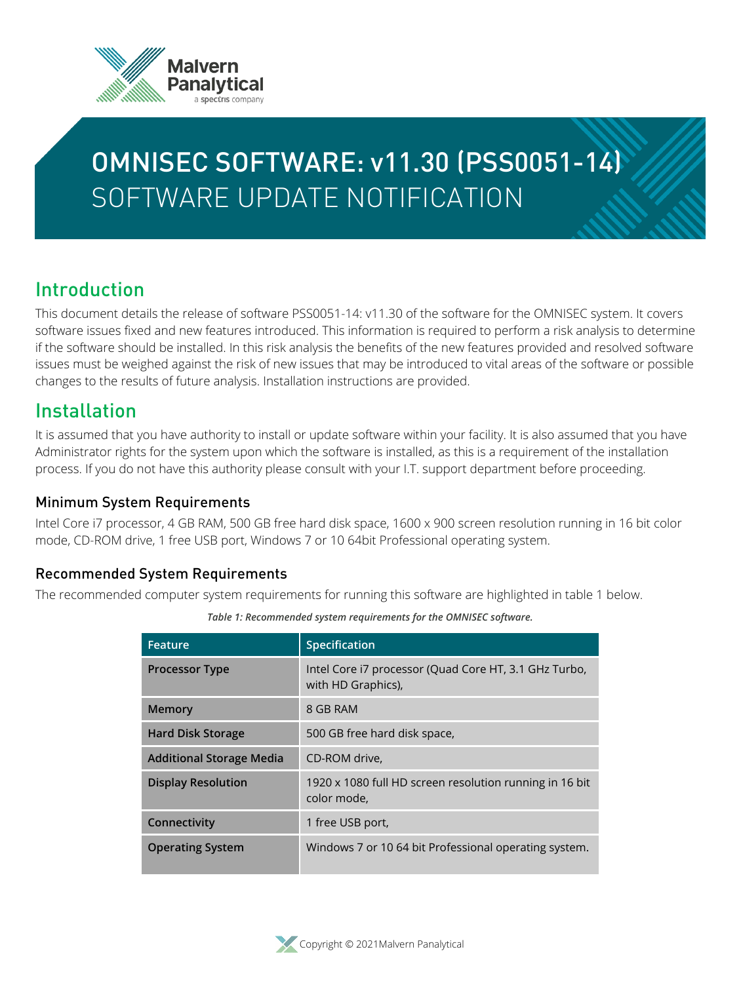

# OMNISEC SOFTWARE: v11.30 (PSS0051-14) SOFTWARE UPDATE NOTIFICATION

# Introduction

This document details the release of software PSS0051-14: v11.30 of the software for the OMNISEC system. It covers software issues fixed and new features introduced. This information is required to perform a risk analysis to determine if the software should be installed. In this risk analysis the benefits of the new features provided and resolved software issues must be weighed against the risk of new issues that may be introduced to vital areas of the software or possible changes to the results of future analysis. Installation instructions are provided.

# Installation

It is assumed that you have authority to install or update software within your facility. It is also assumed that you have Administrator rights for the system upon which the software is installed, as this is a requirement of the installation process. If you do not have this authority please consult with your I.T. support department before proceeding.

#### Minimum System Requirements

Intel Core i7 processor, 4 GB RAM, 500 GB free hard disk space, 1600 x 900 screen resolution running in 16 bit color mode, CD-ROM drive, 1 free USB port, Windows 7 or 10 64bit Professional operating system.

#### Recommended System Requirements

The recommended computer system requirements for running this software are highlighted in table 1 below.

| Feature                         | Specification                                                               |
|---------------------------------|-----------------------------------------------------------------------------|
| <b>Processor Type</b>           | Intel Core i7 processor (Quad Core HT, 3.1 GHz Turbo,<br>with HD Graphics), |
| <b>Memory</b>                   | 8 GB RAM                                                                    |
| <b>Hard Disk Storage</b>        | 500 GB free hard disk space,                                                |
| <b>Additional Storage Media</b> | CD-ROM drive,                                                               |
| <b>Display Resolution</b>       | 1920 x 1080 full HD screen resolution running in 16 bit<br>color mode,      |
| Connectivity                    | 1 free USB port,                                                            |
| <b>Operating System</b>         | Windows 7 or 10 64 bit Professional operating system.                       |

*Table 1: Recommended system requirements for the OMNISEC software.*

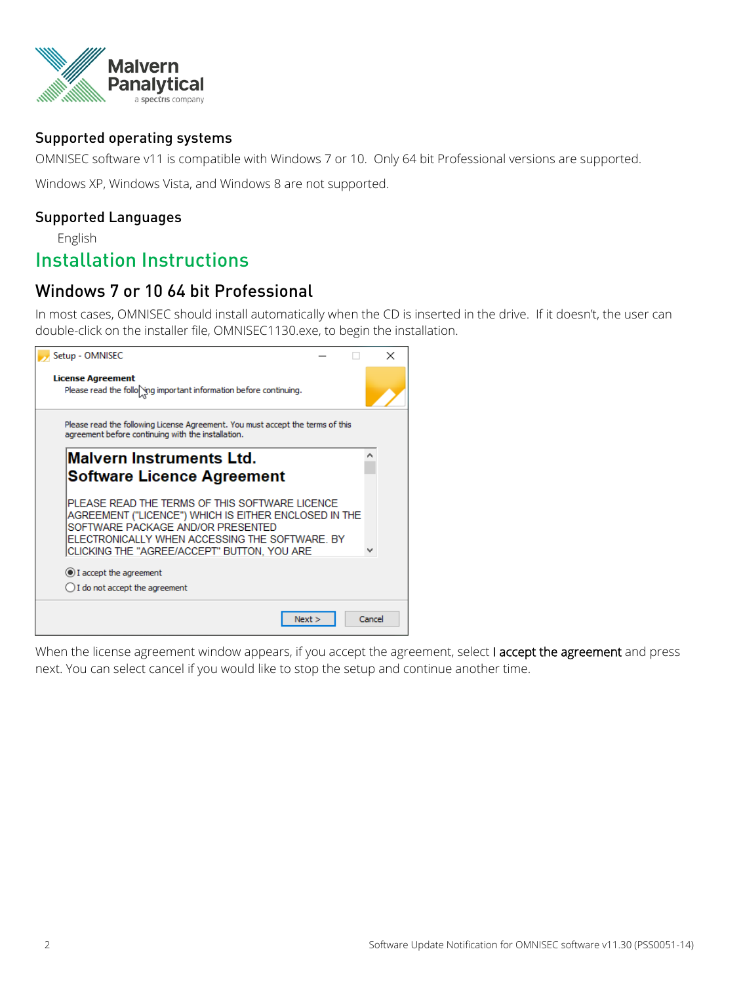

#### Supported operating systems

OMNISEC software v11 is compatible with Windows 7 or 10. Only 64 bit Professional versions are supported.

Windows XP, Windows Vista, and Windows 8 are not supported.

#### Supported Languages

English

### Installation Instructions

#### Windows 7 or 10 64 bit Professional

In most cases, OMNISEC should install automatically when the CD is inserted in the drive. If it doesn't, the user can double-click on the installer file, OMNISEC1130.exe, to begin the installation.



When the license agreement window appears, if you accept the agreement, select **I accept the agreement** and press next. You can select cancel if you would like to stop the setup and continue another time.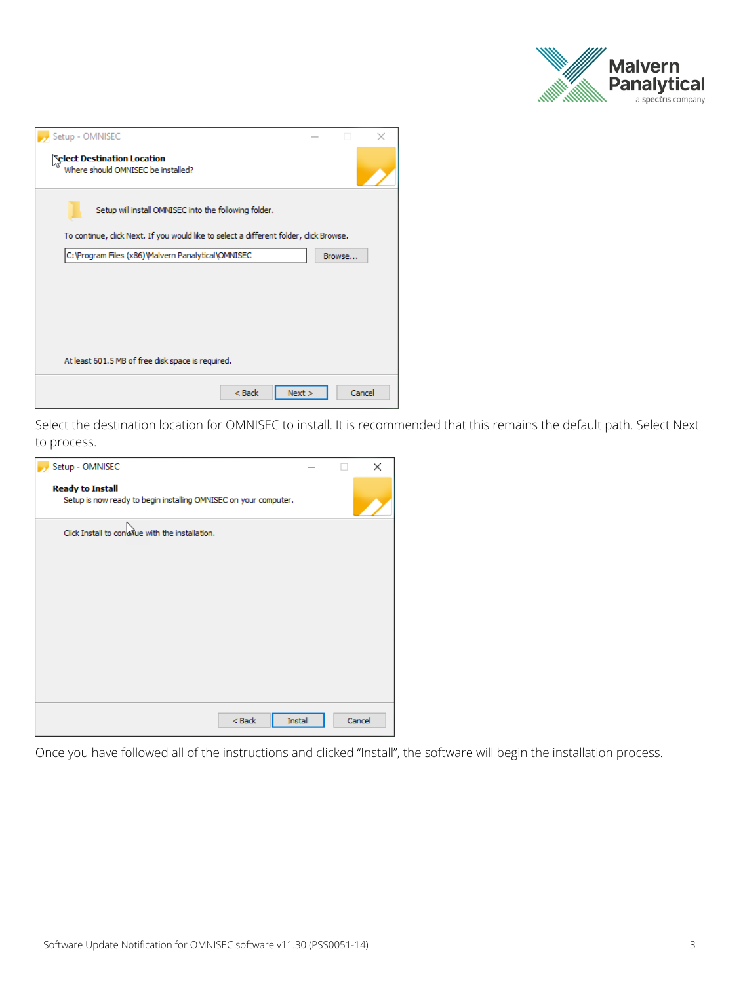

| Setup - OMNISEC                                                                        |        |  |
|----------------------------------------------------------------------------------------|--------|--|
| <b>Select Destination Location</b><br>Where should OMNISEC be installed?               |        |  |
| Setup will install OMNISEC into the following folder.                                  |        |  |
| To continue, click Next. If you would like to select a different folder, click Browse. |        |  |
| C:\Program Files (x86)\Malvern Panalytical\OMNISEC                                     | Browse |  |
| At least 601.5 MB of free disk space is required.                                      |        |  |
| $<$ Back<br>Next                                                                       | Cancel |  |

Select the destination location for OMNISEC to install. It is recommended that this remains the default path. Select Next to process.

| Setup - OMNISEC                                                                             |        | × |
|---------------------------------------------------------------------------------------------|--------|---|
| <b>Ready to Install</b><br>Setup is now ready to begin installing OMNISEC on your computer. |        |   |
| Click Install to convisue with the installation.                                            |        |   |
|                                                                                             |        |   |
| Install<br>$<$ Back                                                                         | Cancel |   |

Once you have followed all of the instructions and clicked "Install", the software will begin the installation process.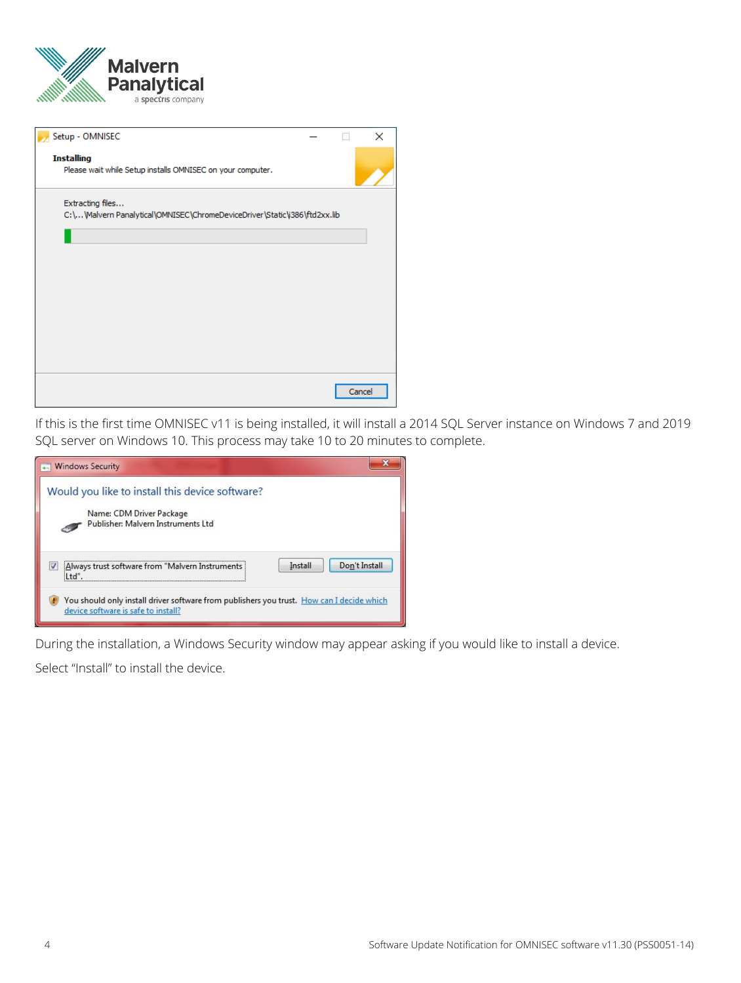

| Setup - OMNISEC                                                                               | X      |
|-----------------------------------------------------------------------------------------------|--------|
| <b>Installing</b><br>Please wait while Setup installs OMNISEC on your computer.               |        |
| Extracting files<br>C:\\Malvern Panalytical\OMNISEC\ChromeDeviceDriver\Static\i386\ftd2xx.lib |        |
|                                                                                               |        |
|                                                                                               |        |
|                                                                                               |        |
|                                                                                               |        |
|                                                                                               | Cancel |

If this is the first time OMNISEC v11 is being installed, it will install a 2014 SQL Server instance on Windows 7 and 2019 SQL server on Windows 10. This process may take 10 to 20 minutes to complete.

| <b>Windows Security</b>                                                                                                          |
|----------------------------------------------------------------------------------------------------------------------------------|
| Would you like to install this device software?<br>Name: CDM Driver Package<br>Publisher: Malvern Instruments Ltd                |
| Don't Install<br>Install<br>Always trust software from "Malvern Instruments                                                      |
| You should only install driver software from publishers you trust. How can I decide which<br>device software is safe to install? |

During the installation, a Windows Security window may appear asking if you would like to install a device.

Select "Install" to install the device.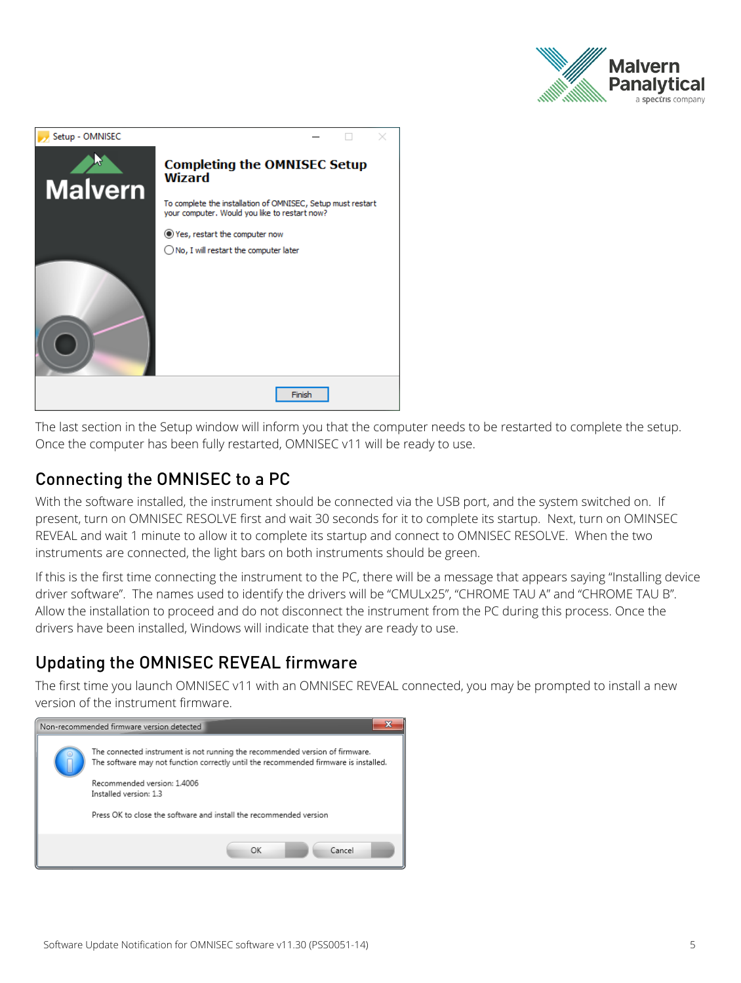



The last section in the Setup window will inform you that the computer needs to be restarted to complete the setup. Once the computer has been fully restarted, OMNISEC v11 will be ready to use.

#### Connecting the OMNISEC to a PC

With the software installed, the instrument should be connected via the USB port, and the system switched on. If present, turn on OMNISEC RESOLVE first and wait 30 seconds for it to complete its startup. Next, turn on OMINSEC REVEAL and wait 1 minute to allow it to complete its startup and connect to OMNISEC RESOLVE. When the two instruments are connected, the light bars on both instruments should be green.

If this is the first time connecting the instrument to the PC, there will be a message that appears saying "Installing device driver software". The names used to identify the drivers will be "CMULx25", "CHROME TAU A" and "CHROME TAU B". Allow the installation to proceed and do not disconnect the instrument from the PC during this process. Once the drivers have been installed, Windows will indicate that they are ready to use.

## Updating the OMNISEC REVEAL firmware

The first time you launch OMNISEC v11 with an OMNISEC REVEAL connected, you may be prompted to install a new version of the instrument firmware.

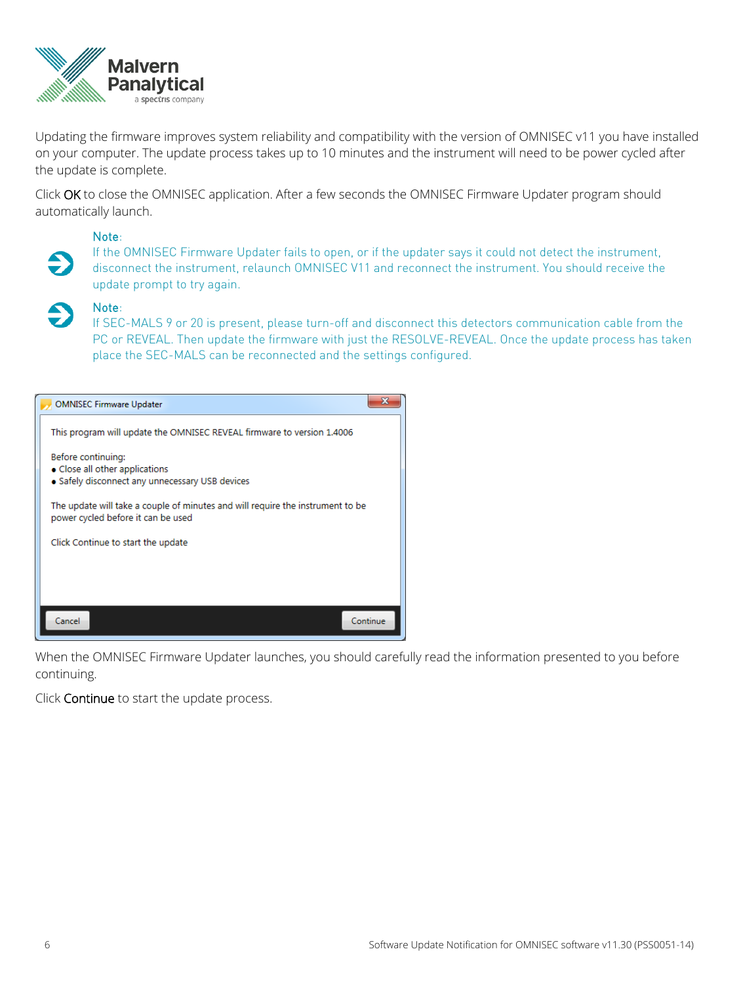

Updating the firmware improves system reliability and compatibility with the version of OMNISEC v11 you have installed on your computer. The update process takes up to 10 minutes and the instrument will need to be power cycled after the update is complete.

Click **OK** to close the OMNISEC application. After a few seconds the OMNISEC Firmware Updater program should automatically launch.

#### **Note**:

If the OMNISEC Firmware Updater fails to open, or if the updater says it could not detect the instrument, disconnect the instrument, relaunch OMNISEC V11 and reconnect the instrument. You should receive the update prompt to try again.

#### **Note**:

If SEC-MALS 9 or 20 is present, please turn-off and disconnect this detectors communication cable from the PC or REVEAL. Then update the firmware with just the RESOLVE-REVEAL. Once the update process has taken place the SEC-MALS can be reconnected and the settings configured.



When the OMNISEC Firmware Updater launches, you should carefully read the information presented to you before continuing.

Click **Continue** to start the update process.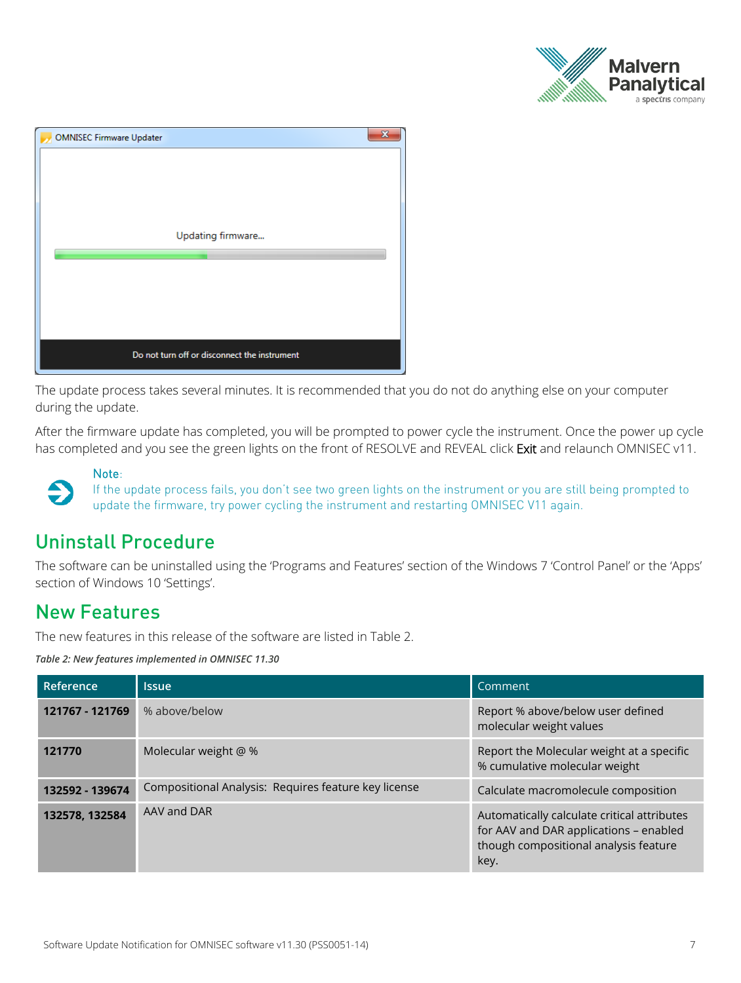

| <b>OMNISEC Firmware Updater</b>              | x |
|----------------------------------------------|---|
|                                              |   |
|                                              |   |
|                                              |   |
|                                              |   |
| Updating firmware                            |   |
|                                              |   |
|                                              |   |
|                                              |   |
|                                              |   |
| Do not turn off or disconnect the instrument |   |

The update process takes several minutes. It is recommended that you do not do anything else on your computer during the update.

After the firmware update has completed, you will be prompted to power cycle the instrument. Once the power up cycle has completed and you see the green lights on the front of RESOLVE and REVEAL click **Exit** and relaunch OMNISEC v11.

**Note**:  $\bullet$ 

If the update process fails, you don't see two green lights on the instrument or you are still being prompted to update the firmware, try power cycling the instrument and restarting OMNISEC V11 again.

# Uninstall Procedure

The software can be uninstalled using the 'Programs and Features' section of the Windows 7 'Control Panel' or the 'Apps' section of Windows 10 'Settings'.

# New Features

The new features in this release of the software are listed in Table 2.

*Table 2: New features implemented in OMNISEC 11.30*

| Reference       | <b>Issue</b>                                         | Comment                                                                                                                                |
|-----------------|------------------------------------------------------|----------------------------------------------------------------------------------------------------------------------------------------|
| 121767 - 121769 | % above/below                                        | Report % above/below user defined<br>molecular weight values                                                                           |
| 121770          | Molecular weight @ %                                 | Report the Molecular weight at a specific<br>% cumulative molecular weight                                                             |
| 132592 - 139674 | Compositional Analysis: Requires feature key license | Calculate macromolecule composition                                                                                                    |
| 132578, 132584  | AAV and DAR                                          | Automatically calculate critical attributes<br>for AAV and DAR applications - enabled<br>though compositional analysis feature<br>key. |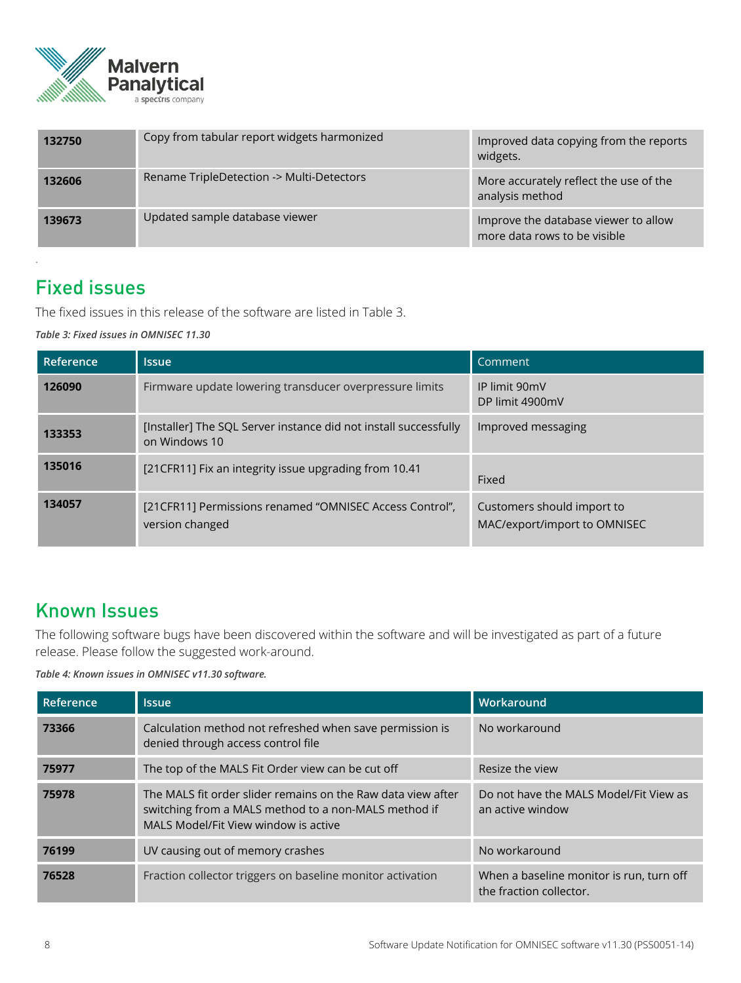

| 132750 | Copy from tabular report widgets harmonized | Improved data copying from the reports<br>widgets.                   |
|--------|---------------------------------------------|----------------------------------------------------------------------|
| 132606 | Rename TripleDetection -> Multi-Detectors   | More accurately reflect the use of the<br>analysis method            |
| 139673 | Updated sample database viewer              | Improve the database viewer to allow<br>more data rows to be visible |

# Fixed issues

.

The fixed issues in this release of the software are listed in Table 3.

*Table 3: Fixed issues in OMNISEC 11.30*

| Reference | <b>Issue</b>                                                                      | Comment                                                    |
|-----------|-----------------------------------------------------------------------------------|------------------------------------------------------------|
| 126090    | Firmware update lowering transducer overpressure limits                           | IP limit 90mV<br>DP limit 4900mV                           |
| 133353    | [Installer] The SQL Server instance did not install successfully<br>on Windows 10 | Improved messaging                                         |
| 135016    | [21 CFR11] Fix an integrity issue upgrading from 10.41                            | Fixed                                                      |
| 134057    | [21CFR11] Permissions renamed "OMNISEC Access Control",<br>version changed        | Customers should import to<br>MAC/export/import to OMNISEC |

# Known Issues

The following software bugs have been discovered within the software and will be investigated as part of a future release. Please follow the suggested work-around.

*Table 4: Known issues in OMNISEC v11.30 software.*

| Reference | <b>Issue</b>                                                                                                                                                 | Workaround                                                          |
|-----------|--------------------------------------------------------------------------------------------------------------------------------------------------------------|---------------------------------------------------------------------|
| 73366     | Calculation method not refreshed when save permission is<br>denied through access control file                                                               | No workaround                                                       |
| 75977     | The top of the MALS Fit Order view can be cut off                                                                                                            | Resize the view                                                     |
| 75978     | The MALS fit order slider remains on the Raw data view after<br>switching from a MALS method to a non-MALS method if<br>MALS Model/Fit View window is active | Do not have the MALS Model/Fit View as<br>an active window          |
| 76199     | UV causing out of memory crashes                                                                                                                             | No workaround                                                       |
| 76528     | Fraction collector triggers on baseline monitor activation                                                                                                   | When a baseline monitor is run, turn off<br>the fraction collector. |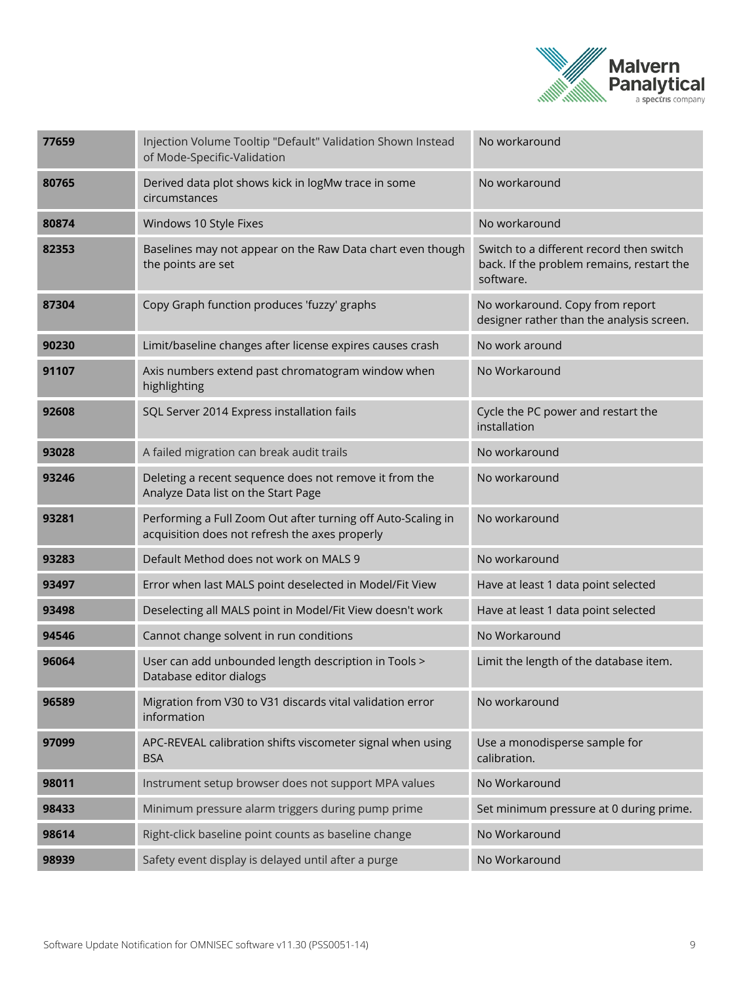

| 77659 | Injection Volume Tooltip "Default" Validation Shown Instead<br>of Mode-Specific-Validation                     | No workaround                                                                                      |
|-------|----------------------------------------------------------------------------------------------------------------|----------------------------------------------------------------------------------------------------|
| 80765 | Derived data plot shows kick in logMw trace in some<br>circumstances                                           | No workaround                                                                                      |
| 80874 | Windows 10 Style Fixes                                                                                         | No workaround                                                                                      |
| 82353 | Baselines may not appear on the Raw Data chart even though<br>the points are set                               | Switch to a different record then switch<br>back. If the problem remains, restart the<br>software. |
| 87304 | Copy Graph function produces 'fuzzy' graphs                                                                    | No workaround. Copy from report<br>designer rather than the analysis screen.                       |
| 90230 | Limit/baseline changes after license expires causes crash                                                      | No work around                                                                                     |
| 91107 | Axis numbers extend past chromatogram window when<br>highlighting                                              | No Workaround                                                                                      |
| 92608 | SQL Server 2014 Express installation fails                                                                     | Cycle the PC power and restart the<br>installation                                                 |
| 93028 | A failed migration can break audit trails                                                                      | No workaround                                                                                      |
| 93246 | Deleting a recent sequence does not remove it from the<br>Analyze Data list on the Start Page                  | No workaround                                                                                      |
| 93281 | Performing a Full Zoom Out after turning off Auto-Scaling in<br>acquisition does not refresh the axes properly | No workaround                                                                                      |
| 93283 | Default Method does not work on MALS 9                                                                         | No workaround                                                                                      |
| 93497 | Error when last MALS point deselected in Model/Fit View                                                        | Have at least 1 data point selected                                                                |
| 93498 | Deselecting all MALS point in Model/Fit View doesn't work                                                      | Have at least 1 data point selected                                                                |
| 94546 | Cannot change solvent in run conditions                                                                        | No Workaround                                                                                      |
| 96064 | User can add unbounded length description in Tools ><br>Database editor dialogs                                | Limit the length of the database item.                                                             |
| 96589 | Migration from V30 to V31 discards vital validation error<br>information                                       | No workaround                                                                                      |
| 97099 | APC-REVEAL calibration shifts viscometer signal when using<br><b>BSA</b>                                       | Use a monodisperse sample for<br>calibration.                                                      |
| 98011 | Instrument setup browser does not support MPA values                                                           | No Workaround                                                                                      |
| 98433 | Minimum pressure alarm triggers during pump prime                                                              | Set minimum pressure at 0 during prime.                                                            |
| 98614 | Right-click baseline point counts as baseline change                                                           | No Workaround                                                                                      |
| 98939 | Safety event display is delayed until after a purge                                                            | No Workaround                                                                                      |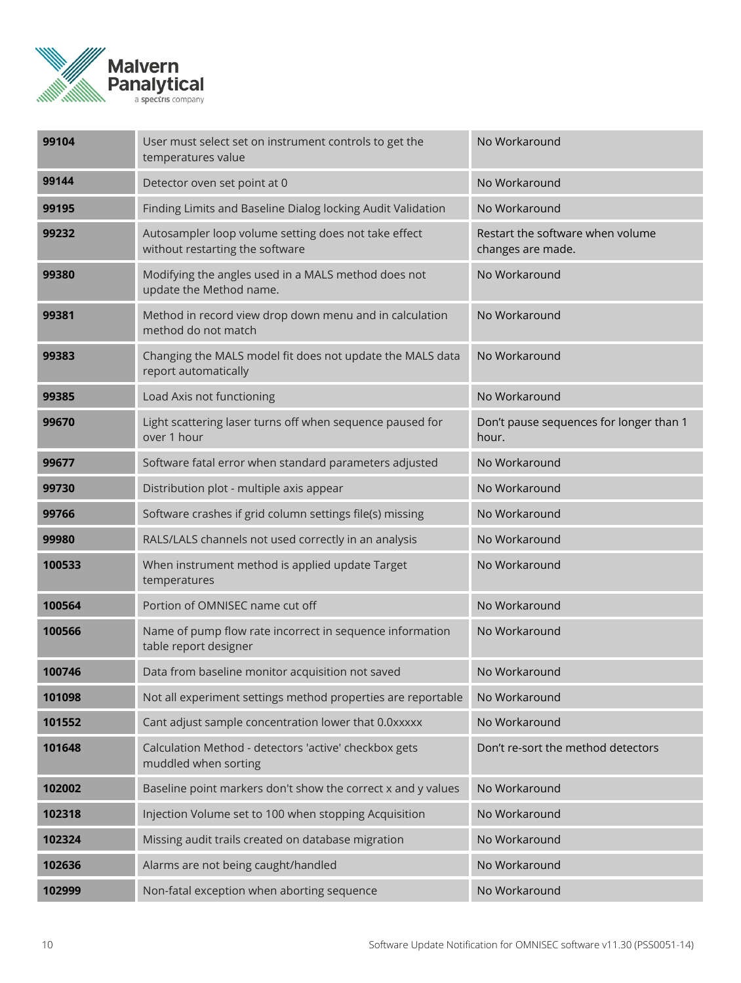

| 99104  | User must select set on instrument controls to get the<br>temperatures value            | No Workaround                                         |
|--------|-----------------------------------------------------------------------------------------|-------------------------------------------------------|
| 99144  | Detector oven set point at 0                                                            | No Workaround                                         |
| 99195  | Finding Limits and Baseline Dialog locking Audit Validation                             | No Workaround                                         |
| 99232  | Autosampler loop volume setting does not take effect<br>without restarting the software | Restart the software when volume<br>changes are made. |
| 99380  | Modifying the angles used in a MALS method does not<br>update the Method name.          | No Workaround                                         |
| 99381  | Method in record view drop down menu and in calculation<br>method do not match          | No Workaround                                         |
| 99383  | Changing the MALS model fit does not update the MALS data<br>report automatically       | No Workaround                                         |
| 99385  | Load Axis not functioning                                                               | No Workaround                                         |
| 99670  | Light scattering laser turns off when sequence paused for<br>over 1 hour                | Don't pause sequences for longer than 1<br>hour.      |
| 99677  | Software fatal error when standard parameters adjusted                                  | No Workaround                                         |
| 99730  | Distribution plot - multiple axis appear                                                | No Workaround                                         |
| 99766  | Software crashes if grid column settings file(s) missing                                | No Workaround                                         |
| 99980  | RALS/LALS channels not used correctly in an analysis                                    | No Workaround                                         |
| 100533 | When instrument method is applied update Target<br>temperatures                         | No Workaround                                         |
| 100564 | Portion of OMNISEC name cut off                                                         | No Workaround                                         |
| 100566 | Name of pump flow rate incorrect in sequence information<br>table report designer       | No Workaround                                         |
| 100746 | Data from baseline monitor acquisition not saved                                        | No Workaround                                         |
| 101098 | Not all experiment settings method properties are reportable                            | No Workaround                                         |
| 101552 | Cant adjust sample concentration lower that 0.0xxxxx                                    | No Workaround                                         |
| 101648 | Calculation Method - detectors 'active' checkbox gets<br>muddled when sorting           | Don't re-sort the method detectors                    |
| 102002 | Baseline point markers don't show the correct x and y values                            | No Workaround                                         |
| 102318 | Injection Volume set to 100 when stopping Acquisition                                   | No Workaround                                         |
| 102324 | Missing audit trails created on database migration                                      | No Workaround                                         |
| 102636 | Alarms are not being caught/handled                                                     | No Workaround                                         |
| 102999 | Non-fatal exception when aborting sequence                                              | No Workaround                                         |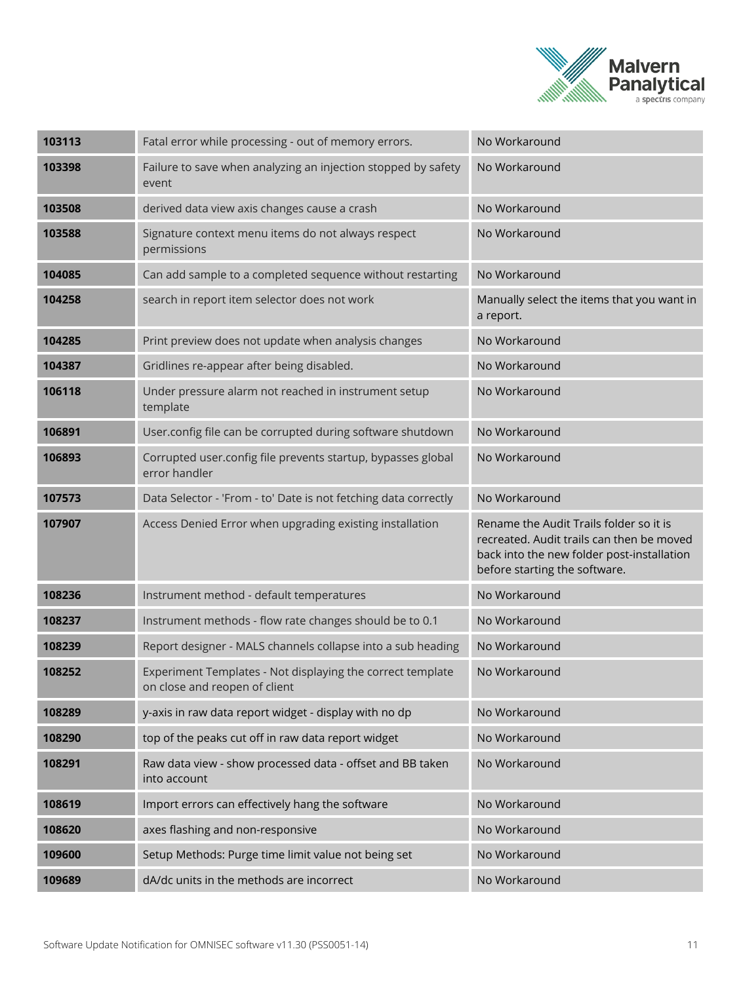

| 103113 | Fatal error while processing - out of memory errors.                                        | No Workaround                                                                                                                                                       |
|--------|---------------------------------------------------------------------------------------------|---------------------------------------------------------------------------------------------------------------------------------------------------------------------|
| 103398 | Failure to save when analyzing an injection stopped by safety<br>event                      | No Workaround                                                                                                                                                       |
| 103508 | derived data view axis changes cause a crash                                                | No Workaround                                                                                                                                                       |
| 103588 | Signature context menu items do not always respect<br>permissions                           | No Workaround                                                                                                                                                       |
| 104085 | Can add sample to a completed sequence without restarting                                   | No Workaround                                                                                                                                                       |
| 104258 | search in report item selector does not work                                                | Manually select the items that you want in<br>a report.                                                                                                             |
| 104285 | Print preview does not update when analysis changes                                         | No Workaround                                                                                                                                                       |
| 104387 | Gridlines re-appear after being disabled.                                                   | No Workaround                                                                                                                                                       |
| 106118 | Under pressure alarm not reached in instrument setup<br>template                            | No Workaround                                                                                                                                                       |
| 106891 | User.config file can be corrupted during software shutdown                                  | No Workaround                                                                                                                                                       |
| 106893 | Corrupted user.config file prevents startup, bypasses global<br>error handler               | No Workaround                                                                                                                                                       |
| 107573 | Data Selector - 'From - to' Date is not fetching data correctly                             | No Workaround                                                                                                                                                       |
| 107907 | Access Denied Error when upgrading existing installation                                    | Rename the Audit Trails folder so it is<br>recreated. Audit trails can then be moved<br>back into the new folder post-installation<br>before starting the software. |
| 108236 | Instrument method - default temperatures                                                    | No Workaround                                                                                                                                                       |
| 108237 | Instrument methods - flow rate changes should be to 0.1                                     | No Workaround                                                                                                                                                       |
| 108239 | Report designer - MALS channels collapse into a sub heading                                 | No Workaround                                                                                                                                                       |
| 108252 | Experiment Templates - Not displaying the correct template<br>on close and reopen of client | No Workaround                                                                                                                                                       |
| 108289 | y-axis in raw data report widget - display with no dp                                       | No Workaround                                                                                                                                                       |
| 108290 | top of the peaks cut off in raw data report widget                                          | No Workaround                                                                                                                                                       |
| 108291 | Raw data view - show processed data - offset and BB taken<br>into account                   | No Workaround                                                                                                                                                       |
| 108619 | Import errors can effectively hang the software                                             | No Workaround                                                                                                                                                       |
| 108620 | axes flashing and non-responsive                                                            | No Workaround                                                                                                                                                       |
| 109600 | Setup Methods: Purge time limit value not being set                                         | No Workaround                                                                                                                                                       |
| 109689 | dA/dc units in the methods are incorrect                                                    | No Workaround                                                                                                                                                       |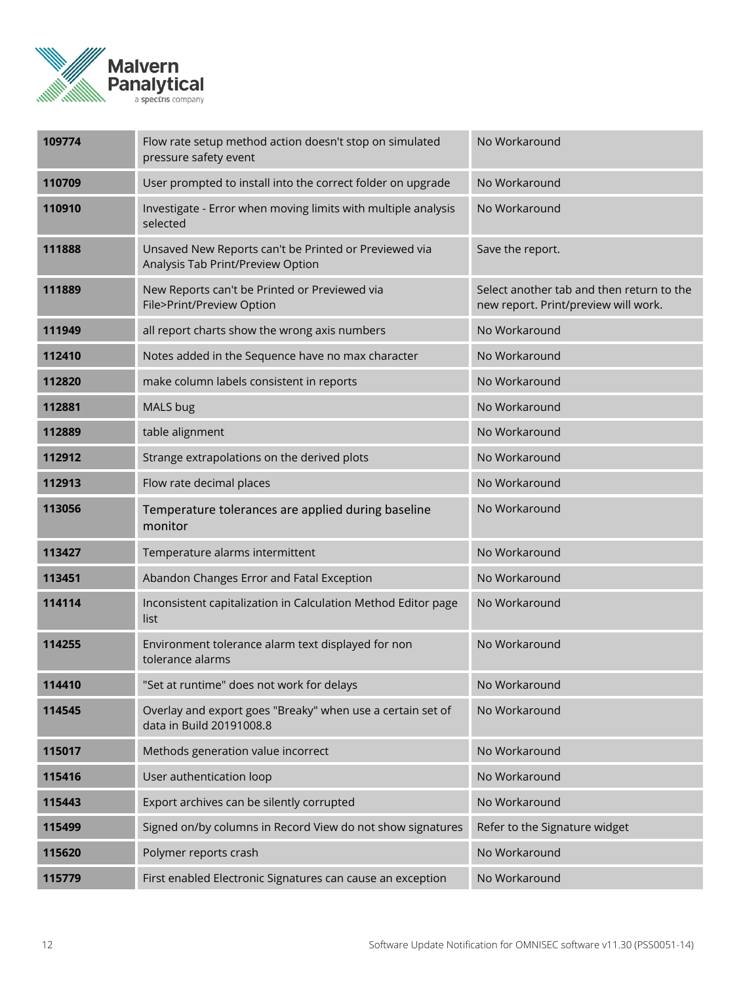

| 109774 | Flow rate setup method action doesn't stop on simulated<br>pressure safety event           | No Workaround                                                                     |
|--------|--------------------------------------------------------------------------------------------|-----------------------------------------------------------------------------------|
| 110709 | User prompted to install into the correct folder on upgrade                                | No Workaround                                                                     |
| 110910 | Investigate - Error when moving limits with multiple analysis<br>selected                  | No Workaround                                                                     |
| 111888 | Unsaved New Reports can't be Printed or Previewed via<br>Analysis Tab Print/Preview Option | Save the report.                                                                  |
| 111889 | New Reports can't be Printed or Previewed via<br>File>Print/Preview Option                 | Select another tab and then return to the<br>new report. Print/preview will work. |
| 111949 | all report charts show the wrong axis numbers                                              | No Workaround                                                                     |
| 112410 | Notes added in the Sequence have no max character                                          | No Workaround                                                                     |
| 112820 | make column labels consistent in reports                                                   | No Workaround                                                                     |
| 112881 | MALS bug                                                                                   | No Workaround                                                                     |
| 112889 | table alignment                                                                            | No Workaround                                                                     |
| 112912 | Strange extrapolations on the derived plots                                                | No Workaround                                                                     |
| 112913 | Flow rate decimal places                                                                   | No Workaround                                                                     |
| 113056 | Temperature tolerances are applied during baseline<br>monitor                              | No Workaround                                                                     |
| 113427 | Temperature alarms intermittent                                                            | No Workaround                                                                     |
| 113451 | Abandon Changes Error and Fatal Exception                                                  | No Workaround                                                                     |
| 114114 | Inconsistent capitalization in Calculation Method Editor page<br>list                      | No Workaround                                                                     |
| 114255 | Environment tolerance alarm text displayed for non<br>tolerance alarms                     | No Workaround                                                                     |
| 114410 | "Set at runtime" does not work for delays                                                  | No Workaround                                                                     |
| 114545 | Overlay and export goes "Breaky" when use a certain set of<br>data in Build 20191008.8     | No Workaround                                                                     |
| 115017 | Methods generation value incorrect                                                         | No Workaround                                                                     |
| 115416 | User authentication loop                                                                   | No Workaround                                                                     |
| 115443 | Export archives can be silently corrupted                                                  | No Workaround                                                                     |
| 115499 | Signed on/by columns in Record View do not show signatures                                 | Refer to the Signature widget                                                     |
| 115620 | Polymer reports crash                                                                      | No Workaround                                                                     |
| 115779 | First enabled Electronic Signatures can cause an exception                                 | No Workaround                                                                     |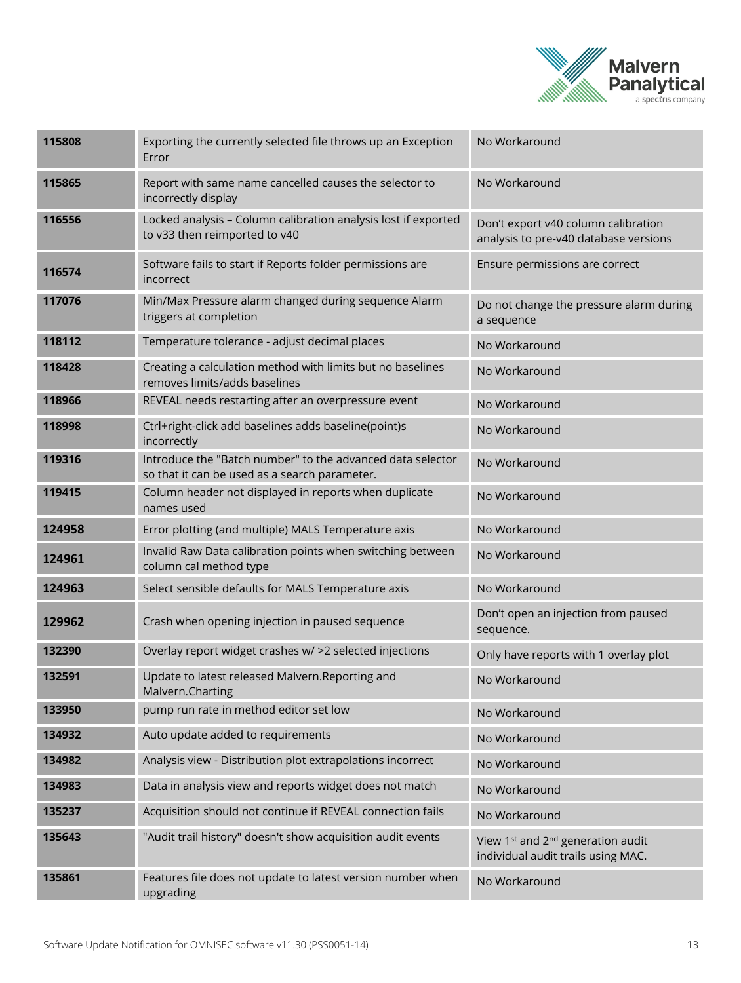

| 115808 | Exporting the currently selected file throws up an Exception<br>Error                                       | No Workaround                                                                                   |
|--------|-------------------------------------------------------------------------------------------------------------|-------------------------------------------------------------------------------------------------|
| 115865 | Report with same name cancelled causes the selector to<br>incorrectly display                               | No Workaround                                                                                   |
| 116556 | Locked analysis - Column calibration analysis lost if exported<br>to v33 then reimported to v40             | Don't export v40 column calibration<br>analysis to pre-v40 database versions                    |
| 116574 | Software fails to start if Reports folder permissions are<br>incorrect                                      | Ensure permissions are correct                                                                  |
| 117076 | Min/Max Pressure alarm changed during sequence Alarm<br>triggers at completion                              | Do not change the pressure alarm during<br>a sequence                                           |
| 118112 | Temperature tolerance - adjust decimal places                                                               | No Workaround                                                                                   |
| 118428 | Creating a calculation method with limits but no baselines<br>removes limits/adds baselines                 | No Workaround                                                                                   |
| 118966 | REVEAL needs restarting after an overpressure event                                                         | No Workaround                                                                                   |
| 118998 | Ctrl+right-click add baselines adds baseline(point)s<br>incorrectly                                         | No Workaround                                                                                   |
| 119316 | Introduce the "Batch number" to the advanced data selector<br>so that it can be used as a search parameter. | No Workaround                                                                                   |
| 119415 | Column header not displayed in reports when duplicate<br>names used                                         | No Workaround                                                                                   |
| 124958 | Error plotting (and multiple) MALS Temperature axis                                                         | No Workaround                                                                                   |
| 124961 | Invalid Raw Data calibration points when switching between<br>column cal method type                        | No Workaround                                                                                   |
| 124963 | Select sensible defaults for MALS Temperature axis                                                          | No Workaround                                                                                   |
| 129962 | Crash when opening injection in paused sequence                                                             | Don't open an injection from paused<br>sequence.                                                |
| 132390 | Overlay report widget crashes w/ >2 selected injections                                                     | Only have reports with 1 overlay plot                                                           |
| 132591 | Update to latest released Malvern.Reporting and<br>Malvern.Charting                                         | No Workaround                                                                                   |
| 133950 | pump run rate in method editor set low                                                                      | No Workaround                                                                                   |
| 134932 | Auto update added to requirements                                                                           | No Workaround                                                                                   |
| 134982 | Analysis view - Distribution plot extrapolations incorrect                                                  | No Workaround                                                                                   |
| 134983 | Data in analysis view and reports widget does not match                                                     | No Workaround                                                                                   |
| 135237 | Acquisition should not continue if REVEAL connection fails                                                  | No Workaround                                                                                   |
| 135643 | "Audit trail history" doesn't show acquisition audit events                                                 | View 1 <sup>st</sup> and 2 <sup>nd</sup> generation audit<br>individual audit trails using MAC. |
| 135861 | Features file does not update to latest version number when<br>upgrading                                    | No Workaround                                                                                   |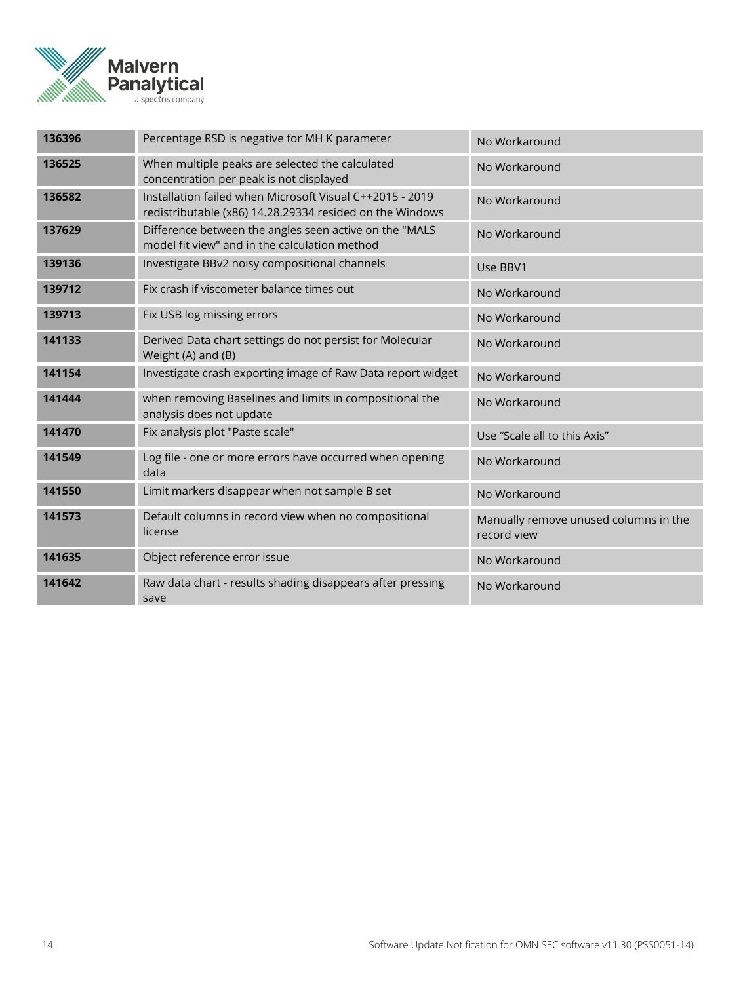

| 136396 | Percentage RSD is negative for MH K parameter                                                                        | No Workaround                                        |
|--------|----------------------------------------------------------------------------------------------------------------------|------------------------------------------------------|
| 136525 | When multiple peaks are selected the calculated<br>concentration per peak is not displayed                           | No Workaround                                        |
| 136582 | Installation failed when Microsoft Visual C++2015 - 2019<br>redistributable (x86) 14.28.29334 resided on the Windows | No Workaround                                        |
| 137629 | Difference between the angles seen active on the "MALS<br>model fit view" and in the calculation method              | No Workaround                                        |
| 139136 | Investigate BBv2 noisy compositional channels                                                                        | Use BBV1                                             |
| 139712 | Fix crash if viscometer balance times out                                                                            | No Workaround                                        |
| 139713 | Fix USB log missing errors                                                                                           | No Workaround                                        |
| 141133 | Derived Data chart settings do not persist for Molecular<br>Weight (A) and (B)                                       | No Workaround                                        |
| 141154 | Investigate crash exporting image of Raw Data report widget                                                          | No Workaround                                        |
| 141444 | when removing Baselines and limits in compositional the<br>analysis does not update                                  | No Workaround                                        |
| 141470 | Fix analysis plot "Paste scale"                                                                                      | Use "Scale all to this Axis"                         |
| 141549 | Log file - one or more errors have occurred when opening<br>data                                                     | No Workaround                                        |
| 141550 | Limit markers disappear when not sample B set                                                                        | No Workaround                                        |
| 141573 | Default columns in record view when no compositional<br>license                                                      | Manually remove unused columns in the<br>record view |
| 141635 | Object reference error issue                                                                                         | No Workaround                                        |
| 141642 | Raw data chart - results shading disappears after pressing<br>save                                                   | No Workaround                                        |